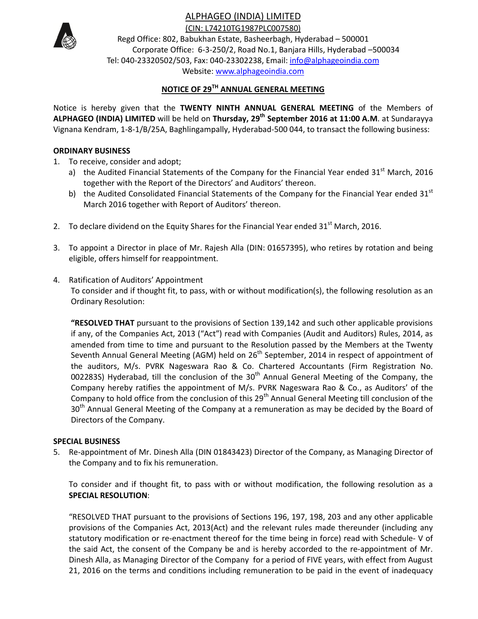

(CIN: L74210TG1987PLC007580)

Regd Office: 802, Babukhan Estate, Basheerbagh, Hyderabad – 500001 Corporate Office: 6-3-250/2, Road No.1, Banjara Hills, Hyderabad –500034 Tel: 040-23320502/503, Fax: 040-23302238, Email: info@alphageoindia.com Website: www.alphageoindia.com

# **NOTICE OF 29TH ANNUAL GENERAL MEETING**

Notice is hereby given that the **TWENTY NINTH ANNUAL GENERAL MEETING** of the Members of **ALPHAGEO (INDIA) LIMITED** will be held on **Thursday, 29th September 2016 at 11:00 A.M**. at Sundarayya Vignana Kendram, 1-8-1/B/25A, Baghlingampally, Hyderabad-500 044, to transact the following business:

### **ORDINARY BUSINESS**

- 1. To receive, consider and adopt;
	- a) the Audited Financial Statements of the Company for the Financial Year ended  $31<sup>st</sup>$  March, 2016 together with the Report of the Directors' and Auditors' thereon.
	- b) the Audited Consolidated Financial Statements of the Company for the Financial Year ended  $31<sup>st</sup>$ March 2016 together with Report of Auditors' thereon.
- 2. To declare dividend on the Equity Shares for the Financial Year ended  $31<sup>st</sup>$  March, 2016.
- 3. To appoint a Director in place of Mr. Rajesh Alla (DIN: 01657395), who retires by rotation and being eligible, offers himself for reappointment.
- 4. Ratification of Auditors' Appointment To consider and if thought fit, to pass, with or without modification(s), the following resolution as an Ordinary Resolution:

**"RESOLVED THAT** pursuant to the provisions of Section 139,142 and such other applicable provisions if any, of the Companies Act, 2013 ("Act") read with Companies (Audit and Auditors) Rules, 2014, as amended from time to time and pursuant to the Resolution passed by the Members at the Twenty Seventh Annual General Meeting (AGM) held on 26<sup>th</sup> September, 2014 in respect of appointment of the auditors, M/s. PVRK Nageswara Rao & Co. Chartered Accountants (Firm Registration No. 002283S) Hyderabad, till the conclusion of the  $30<sup>th</sup>$  Annual General Meeting of the Company, the Company hereby ratifies the appointment of M/s. PVRK Nageswara Rao & Co., as Auditors' of the Company to hold office from the conclusion of this 29<sup>th</sup> Annual General Meeting till conclusion of the 30<sup>th</sup> Annual General Meeting of the Company at a remuneration as may be decided by the Board of Directors of the Company.

#### **SPECIAL BUSINESS**

5. Re-appointment of Mr. Dinesh Alla (DIN 01843423) Director of the Company, as Managing Director of the Company and to fix his remuneration.

To consider and if thought fit, to pass with or without modification, the following resolution as a **SPECIAL RESOLUTION**:

"RESOLVED THAT pursuant to the provisions of Sections 196, 197, 198, 203 and any other applicable provisions of the Companies Act, 2013(Act) and the relevant rules made thereunder (including any statutory modification or re-enactment thereof for the time being in force) read with Schedule- V of the said Act, the consent of the Company be and is hereby accorded to the re-appointment of Mr. Dinesh Alla, as Managing Director of the Company for a period of FIVE years, with effect from August 21, 2016 on the terms and conditions including remuneration to be paid in the event of inadequacy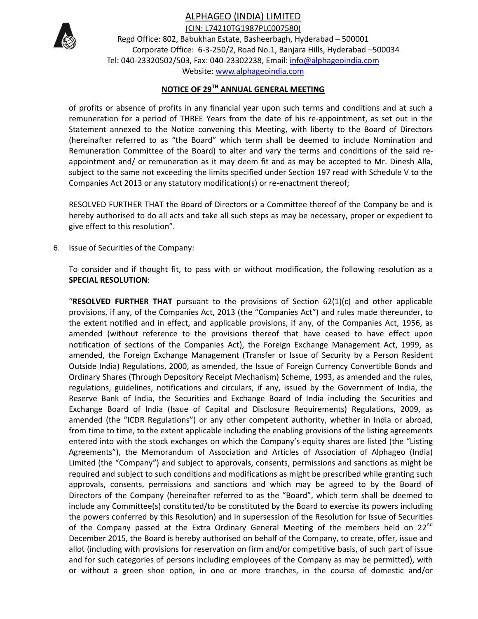

(CIN: L74210TG1987PLC007580)

Regd Office: 802, Babukhan Estate, Basheerbagh, Hyderabad – 500001 Corporate Office: 6-3-250/2, Road No.1, Banjara Hills, Hyderabad –500034 Tel: 040-23320502/503, Fax: 040-23302238, Email: info@alphageoindia.com Website: www.alphageoindia.com

# **NOTICE OF 29TH ANNUAL GENERAL MEETING**

of profits or absence of profits in any financial year upon such terms and conditions and at such a remuneration for a period of THREE Years from the date of his re-appointment, as set out in the Statement annexed to the Notice convening this Meeting, with liberty to the Board of Directors (hereinafter referred to as "the Board" which term shall be deemed to include Nomination and Remuneration Committee of the Board) to alter and vary the terms and conditions of the said reappointment and/ or remuneration as it may deem fit and as may be accepted to Mr. Dinesh Alla, subject to the same not exceeding the limits specified under Section 197 read with Schedule V to the Companies Act 2013 or any statutory modification(s) or re-enactment thereof;

RESOLVED FURTHER THAT the Board of Directors or a Committee thereof of the Company be and is hereby authorised to do all acts and take all such steps as may be necessary, proper or expedient to give effect to this resolution".

6. Issue of Securities of the Company:

To consider and if thought fit, to pass with or without modification, the following resolution as a **SPECIAL RESOLUTION**:

"**RESOLVED FURTHER THAT** pursuant to the provisions of Section 62(1)(c) and other applicable provisions, if any, of the Companies Act, 2013 (the "Companies Act") and rules made thereunder, to the extent notified and in effect, and applicable provisions, if any, of the Companies Act, 1956, as amended (without reference to the provisions thereof that have ceased to have effect upon notification of sections of the Companies Act), the Foreign Exchange Management Act, 1999, as amended, the Foreign Exchange Management (Transfer or Issue of Security by a Person Resident Outside India) Regulations, 2000, as amended, the Issue of Foreign Currency Convertible Bonds and Ordinary Shares (Through Depository Receipt Mechanism) Scheme, 1993, as amended and the rules, regulations, guidelines, notifications and circulars, if any, issued by the Government of India, the Reserve Bank of India, the Securities and Exchange Board of India including the Securities and Exchange Board of India (Issue of Capital and Disclosure Requirements) Regulations, 2009, as amended (the "ICDR Regulations") or any other competent authority, whether in India or abroad, from time to time, to the extent applicable including the enabling provisions of the listing agreements entered into with the stock exchanges on which the Company's equity shares are listed (the "Listing Agreements"), the Memorandum of Association and Articles of Association of Alphageo (India) Limited (the "Company") and subject to approvals, consents, permissions and sanctions as might be required and subject to such conditions and modifications as might be prescribed while granting such approvals, consents, permissions and sanctions and which may be agreed to by the Board of Directors of the Company (hereinafter referred to as the "Board", which term shall be deemed to include any Committee(s) constituted/to be constituted by the Board to exercise its powers including the powers conferred by this Resolution) and in supersession of the Resolution for Issue of Securities of the Company passed at the Extra Ordinary General Meeting of the members held on 22<sup>nd</sup> December 2015, the Board is hereby authorised on behalf of the Company, to create, offer, issue and allot (including with provisions for reservation on firm and/or competitive basis, of such part of issue and for such categories of persons including employees of the Company as may be permitted), with or without a green shoe option, in one or more tranches, in the course of domestic and/or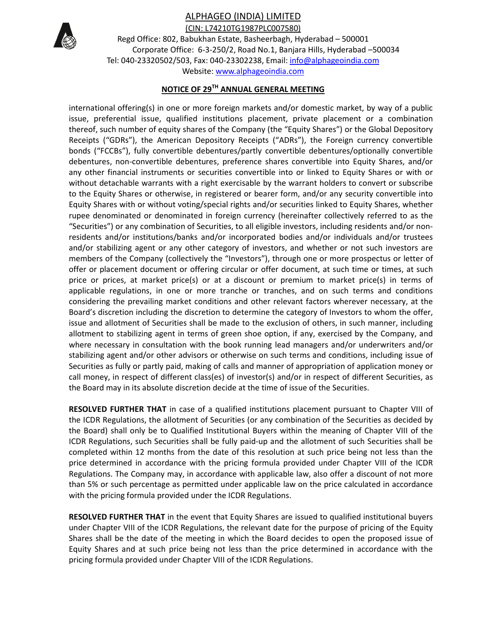

(CIN: L74210TG1987PLC007580)

Regd Office: 802, Babukhan Estate, Basheerbagh, Hyderabad – 500001 Corporate Office: 6-3-250/2, Road No.1, Banjara Hills, Hyderabad –500034 Tel: 040-23320502/503, Fax: 040-23302238, Email: info@alphageoindia.com Website: www.alphageoindia.com

# **NOTICE OF 29TH ANNUAL GENERAL MEETING**

international offering(s) in one or more foreign markets and/or domestic market, by way of a public issue, preferential issue, qualified institutions placement, private placement or a combination thereof, such number of equity shares of the Company (the "Equity Shares") or the Global Depository Receipts ("GDRs"), the American Depository Receipts ("ADRs"), the Foreign currency convertible bonds ("FCCBs"), fully convertible debentures/partly convertible debentures/optionally convertible debentures, non-convertible debentures, preference shares convertible into Equity Shares, and/or any other financial instruments or securities convertible into or linked to Equity Shares or with or without detachable warrants with a right exercisable by the warrant holders to convert or subscribe to the Equity Shares or otherwise, in registered or bearer form, and/or any security convertible into Equity Shares with or without voting/special rights and/or securities linked to Equity Shares, whether rupee denominated or denominated in foreign currency (hereinafter collectively referred to as the "Securities") or any combination of Securities, to all eligible investors, including residents and/or nonresidents and/or institutions/banks and/or incorporated bodies and/or individuals and/or trustees and/or stabilizing agent or any other category of investors, and whether or not such investors are members of the Company (collectively the "Investors"), through one or more prospectus or letter of offer or placement document or offering circular or offer document, at such time or times, at such price or prices, at market price(s) or at a discount or premium to market price(s) in terms of applicable regulations, in one or more tranche or tranches, and on such terms and conditions considering the prevailing market conditions and other relevant factors wherever necessary, at the Board's discretion including the discretion to determine the category of Investors to whom the offer, issue and allotment of Securities shall be made to the exclusion of others, in such manner, including allotment to stabilizing agent in terms of green shoe option, if any, exercised by the Company, and where necessary in consultation with the book running lead managers and/or underwriters and/or stabilizing agent and/or other advisors or otherwise on such terms and conditions, including issue of Securities as fully or partly paid, making of calls and manner of appropriation of application money or call money, in respect of different class(es) of investor(s) and/or in respect of different Securities, as the Board may in its absolute discretion decide at the time of issue of the Securities.

**RESOLVED FURTHER THAT** in case of a qualified institutions placement pursuant to Chapter VIII of the ICDR Regulations, the allotment of Securities (or any combination of the Securities as decided by the Board) shall only be to Qualified Institutional Buyers within the meaning of Chapter VIII of the ICDR Regulations, such Securities shall be fully paid-up and the allotment of such Securities shall be completed within 12 months from the date of this resolution at such price being not less than the price determined in accordance with the pricing formula provided under Chapter VIII of the ICDR Regulations. The Company may, in accordance with applicable law, also offer a discount of not more than 5% or such percentage as permitted under applicable law on the price calculated in accordance with the pricing formula provided under the ICDR Regulations.

**RESOLVED FURTHER THAT** in the event that Equity Shares are issued to qualified institutional buyers under Chapter VIII of the ICDR Regulations, the relevant date for the purpose of pricing of the Equity Shares shall be the date of the meeting in which the Board decides to open the proposed issue of Equity Shares and at such price being not less than the price determined in accordance with the pricing formula provided under Chapter VIII of the ICDR Regulations.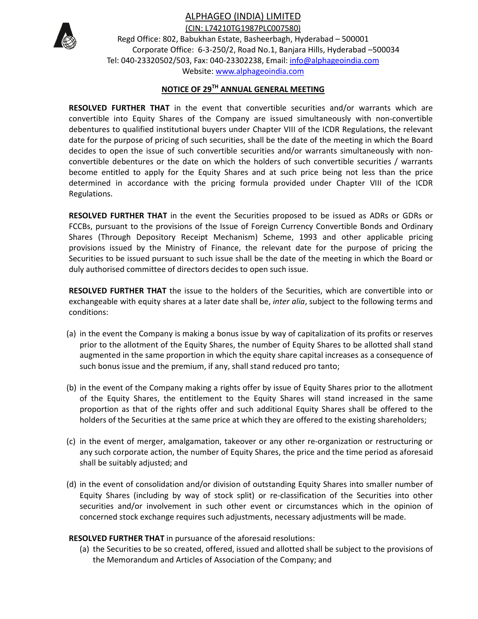

(CIN: L74210TG1987PLC007580)

Regd Office: 802, Babukhan Estate, Basheerbagh, Hyderabad – 500001 Corporate Office: 6-3-250/2, Road No.1, Banjara Hills, Hyderabad –500034 Tel: 040-23320502/503, Fax: 040-23302238, Email: info@alphageoindia.com Website: www.alphageoindia.com

# **NOTICE OF 29TH ANNUAL GENERAL MEETING**

**RESOLVED FURTHER THAT** in the event that convertible securities and/or warrants which are convertible into Equity Shares of the Company are issued simultaneously with non-convertible debentures to qualified institutional buyers under Chapter VIII of the ICDR Regulations, the relevant date for the purpose of pricing of such securities, shall be the date of the meeting in which the Board decides to open the issue of such convertible securities and/or warrants simultaneously with nonconvertible debentures or the date on which the holders of such convertible securities / warrants become entitled to apply for the Equity Shares and at such price being not less than the price determined in accordance with the pricing formula provided under Chapter VIII of the ICDR Regulations.

**RESOLVED FURTHER THAT** in the event the Securities proposed to be issued as ADRs or GDRs or FCCBs, pursuant to the provisions of the Issue of Foreign Currency Convertible Bonds and Ordinary Shares (Through Depository Receipt Mechanism) Scheme, 1993 and other applicable pricing provisions issued by the Ministry of Finance, the relevant date for the purpose of pricing the Securities to be issued pursuant to such issue shall be the date of the meeting in which the Board or duly authorised committee of directors decides to open such issue.

**RESOLVED FURTHER THAT** the issue to the holders of the Securities, which are convertible into or exchangeable with equity shares at a later date shall be, *inter alia*, subject to the following terms and conditions:

- (a) in the event the Company is making a bonus issue by way of capitalization of its profits or reserves prior to the allotment of the Equity Shares, the number of Equity Shares to be allotted shall stand augmented in the same proportion in which the equity share capital increases as a consequence of such bonus issue and the premium, if any, shall stand reduced pro tanto;
- (b) in the event of the Company making a rights offer by issue of Equity Shares prior to the allotment of the Equity Shares, the entitlement to the Equity Shares will stand increased in the same proportion as that of the rights offer and such additional Equity Shares shall be offered to the holders of the Securities at the same price at which they are offered to the existing shareholders;
- (c) in the event of merger, amalgamation, takeover or any other re-organization or restructuring or any such corporate action, the number of Equity Shares, the price and the time period as aforesaid shall be suitably adjusted; and
- (d) in the event of consolidation and/or division of outstanding Equity Shares into smaller number of Equity Shares (including by way of stock split) or re-classification of the Securities into other securities and/or involvement in such other event or circumstances which in the opinion of concerned stock exchange requires such adjustments, necessary adjustments will be made.

**RESOLVED FURTHER THAT** in pursuance of the aforesaid resolutions:

(a) the Securities to be so created, offered, issued and allotted shall be subject to the provisions of the Memorandum and Articles of Association of the Company; and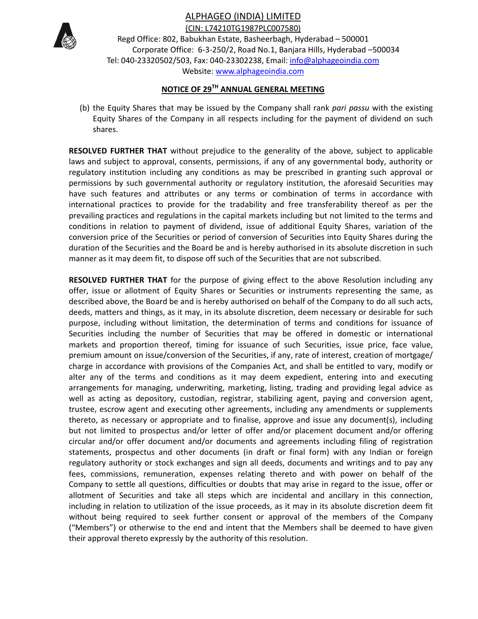

(CIN: L74210TG1987PLC007580)

Regd Office: 802, Babukhan Estate, Basheerbagh, Hyderabad – 500001 Corporate Office: 6-3-250/2, Road No.1, Banjara Hills, Hyderabad –500034 Tel: 040-23320502/503, Fax: 040-23302238, Email: info@alphageoindia.com Website: www.alphageoindia.com

### **NOTICE OF 29TH ANNUAL GENERAL MEETING**

(b) the Equity Shares that may be issued by the Company shall rank *pari passu* with the existing Equity Shares of the Company in all respects including for the payment of dividend on such shares.

**RESOLVED FURTHER THAT** without prejudice to the generality of the above, subject to applicable laws and subject to approval, consents, permissions, if any of any governmental body, authority or regulatory institution including any conditions as may be prescribed in granting such approval or permissions by such governmental authority or regulatory institution, the aforesaid Securities may have such features and attributes or any terms or combination of terms in accordance with international practices to provide for the tradability and free transferability thereof as per the prevailing practices and regulations in the capital markets including but not limited to the terms and conditions in relation to payment of dividend, issue of additional Equity Shares, variation of the conversion price of the Securities or period of conversion of Securities into Equity Shares during the duration of the Securities and the Board be and is hereby authorised in its absolute discretion in such manner as it may deem fit, to dispose off such of the Securities that are not subscribed.

**RESOLVED FURTHER THAT** for the purpose of giving effect to the above Resolution including any offer, issue or allotment of Equity Shares or Securities or instruments representing the same, as described above, the Board be and is hereby authorised on behalf of the Company to do all such acts, deeds, matters and things, as it may, in its absolute discretion, deem necessary or desirable for such purpose, including without limitation, the determination of terms and conditions for issuance of Securities including the number of Securities that may be offered in domestic or international markets and proportion thereof, timing for issuance of such Securities, issue price, face value, premium amount on issue/conversion of the Securities, if any, rate of interest, creation of mortgage/ charge in accordance with provisions of the Companies Act, and shall be entitled to vary, modify or alter any of the terms and conditions as it may deem expedient, entering into and executing arrangements for managing, underwriting, marketing, listing, trading and providing legal advice as well as acting as depository, custodian, registrar, stabilizing agent, paying and conversion agent, trustee, escrow agent and executing other agreements, including any amendments or supplements thereto, as necessary or appropriate and to finalise, approve and issue any document(s), including but not limited to prospectus and/or letter of offer and/or placement document and/or offering circular and/or offer document and/or documents and agreements including filing of registration statements, prospectus and other documents (in draft or final form) with any Indian or foreign regulatory authority or stock exchanges and sign all deeds, documents and writings and to pay any fees, commissions, remuneration, expenses relating thereto and with power on behalf of the Company to settle all questions, difficulties or doubts that may arise in regard to the issue, offer or allotment of Securities and take all steps which are incidental and ancillary in this connection, including in relation to utilization of the issue proceeds, as it may in its absolute discretion deem fit without being required to seek further consent or approval of the members of the Company ("Members") or otherwise to the end and intent that the Members shall be deemed to have given their approval thereto expressly by the authority of this resolution.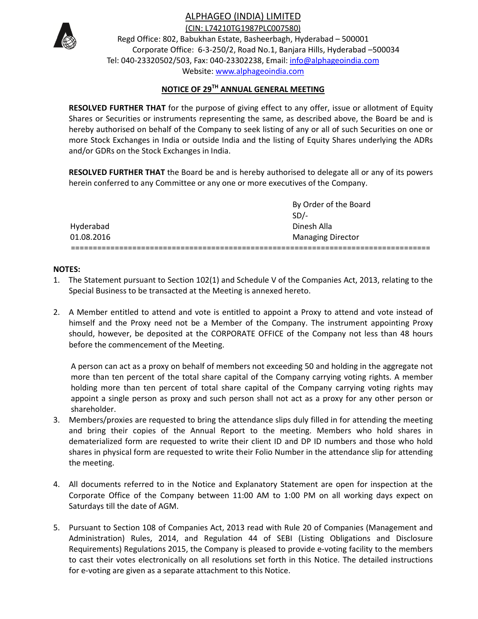

(CIN: L74210TG1987PLC007580)

Regd Office: 802, Babukhan Estate, Basheerbagh, Hyderabad – 500001 Corporate Office: 6-3-250/2, Road No.1, Banjara Hills, Hyderabad –500034 Tel: 040-23320502/503, Fax: 040-23302238, Email: info@alphageoindia.com Website: www.alphageoindia.com

# **NOTICE OF 29TH ANNUAL GENERAL MEETING**

**RESOLVED FURTHER THAT** for the purpose of giving effect to any offer, issue or allotment of Equity Shares or Securities or instruments representing the same, as described above, the Board be and is hereby authorised on behalf of the Company to seek listing of any or all of such Securities on one or more Stock Exchanges in India or outside India and the listing of Equity Shares underlying the ADRs and/or GDRs on the Stock Exchanges in India.

**RESOLVED FURTHER THAT** the Board be and is hereby authorised to delegate all or any of its powers herein conferred to any Committee or any one or more executives of the Company.

|            | By Order of the Board    |  |
|------------|--------------------------|--|
|            | $SD/-$                   |  |
| Hyderabad  | Dinesh Alla              |  |
| 01.08.2016 | <b>Managing Director</b> |  |
|            |                          |  |

### **NOTES:**

- 1. The Statement pursuant to Section 102(1) and Schedule V of the Companies Act, 2013, relating to the Special Business to be transacted at the Meeting is annexed hereto.
- 2. A Member entitled to attend and vote is entitled to appoint a Proxy to attend and vote instead of himself and the Proxy need not be a Member of the Company. The instrument appointing Proxy should, however, be deposited at the CORPORATE OFFICE of the Company not less than 48 hours before the commencement of the Meeting.

A person can act as a proxy on behalf of members not exceeding 50 and holding in the aggregate not more than ten percent of the total share capital of the Company carrying voting rights. A member holding more than ten percent of total share capital of the Company carrying voting rights may appoint a single person as proxy and such person shall not act as a proxy for any other person or shareholder.

- 3. Members/proxies are requested to bring the attendance slips duly filled in for attending the meeting and bring their copies of the Annual Report to the meeting. Members who hold shares in dematerialized form are requested to write their client ID and DP ID numbers and those who hold shares in physical form are requested to write their Folio Number in the attendance slip for attending the meeting.
- 4. All documents referred to in the Notice and Explanatory Statement are open for inspection at the Corporate Office of the Company between 11:00 AM to 1:00 PM on all working days expect on Saturdays till the date of AGM.
- 5. Pursuant to Section 108 of Companies Act, 2013 read with Rule 20 of Companies (Management and Administration) Rules, 2014, and Regulation 44 of SEBI (Listing Obligations and Disclosure Requirements) Regulations 2015, the Company is pleased to provide e-voting facility to the members to cast their votes electronically on all resolutions set forth in this Notice. The detailed instructions for e-voting are given as a separate attachment to this Notice.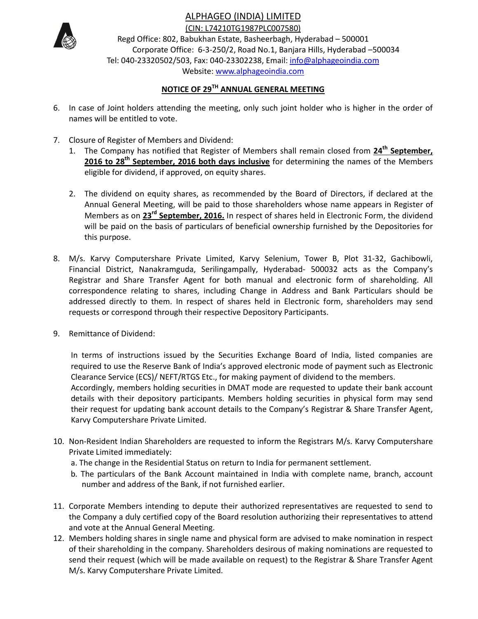

(CIN: L74210TG1987PLC007580)

Regd Office: 802, Babukhan Estate, Basheerbagh, Hyderabad – 500001 Corporate Office: 6-3-250/2, Road No.1, Banjara Hills, Hyderabad –500034 Tel: 040-23320502/503, Fax: 040-23302238, Email: info@alphageoindia.com Website: www.alphageoindia.com

# **NOTICE OF 29TH ANNUAL GENERAL MEETING**

- 6. In case of Joint holders attending the meeting, only such joint holder who is higher in the order of names will be entitled to vote.
- 7. Closure of Register of Members and Dividend:
	- 1. The Company has notified that Register of Members shall remain closed from **24th September, 2016 to 28th September, 2016 both days inclusive** for determining the names of the Members eligible for dividend, if approved, on equity shares.
	- 2. The dividend on equity shares, as recommended by the Board of Directors, if declared at the Annual General Meeting, will be paid to those shareholders whose name appears in Register of Members as on **23rd September, 2016.** In respect of shares held in Electronic Form, the dividend will be paid on the basis of particulars of beneficial ownership furnished by the Depositories for this purpose.
- 8. M/s. Karvy Computershare Private Limited, Karvy Selenium, Tower B, Plot 31-32, Gachibowli, Financial District, Nanakramguda, Serilingampally, Hyderabad- 500032 acts as the Company's Registrar and Share Transfer Agent for both manual and electronic form of shareholding. All correspondence relating to shares, including Change in Address and Bank Particulars should be addressed directly to them. In respect of shares held in Electronic form, shareholders may send requests or correspond through their respective Depository Participants.
- 9. Remittance of Dividend:

In terms of instructions issued by the Securities Exchange Board of India, listed companies are required to use the Reserve Bank of India's approved electronic mode of payment such as Electronic Clearance Service (ECS)/ NEFT/RTGS Etc., for making payment of dividend to the members. Accordingly, members holding securities in DMAT mode are requested to update their bank account details with their depository participants. Members holding securities in physical form may send their request for updating bank account details to the Company's Registrar & Share Transfer Agent, Karvy Computershare Private Limited.

- 10. Non-Resident Indian Shareholders are requested to inform the Registrars M/s. Karvy Computershare Private Limited immediately:
	- a. The change in the Residential Status on return to India for permanent settlement.
	- b. The particulars of the Bank Account maintained in India with complete name, branch, account number and address of the Bank, if not furnished earlier.
- 11. Corporate Members intending to depute their authorized representatives are requested to send to the Company a duly certified copy of the Board resolution authorizing their representatives to attend and vote at the Annual General Meeting.
- 12. Members holding shares in single name and physical form are advised to make nomination in respect of their shareholding in the company. Shareholders desirous of making nominations are requested to send their request (which will be made available on request) to the Registrar & Share Transfer Agent M/s. Karvy Computershare Private Limited.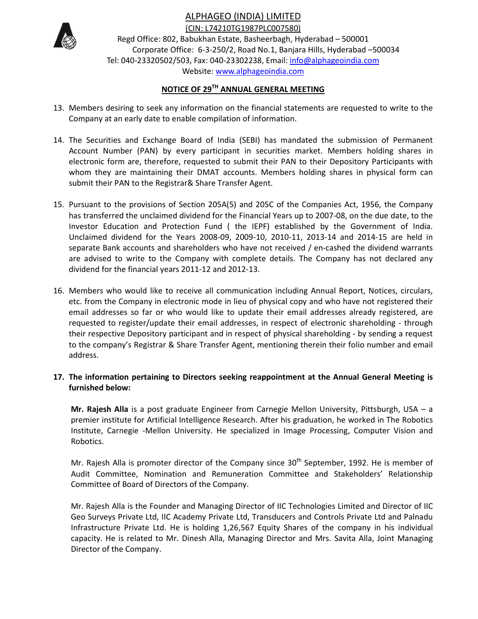

(CIN: L74210TG1987PLC007580)

Regd Office: 802, Babukhan Estate, Basheerbagh, Hyderabad – 500001 Corporate Office: 6-3-250/2, Road No.1, Banjara Hills, Hyderabad –500034 Tel: 040-23320502/503, Fax: 040-23302238, Email: info@alphageoindia.com Website: www.alphageoindia.com

# **NOTICE OF 29TH ANNUAL GENERAL MEETING**

- 13. Members desiring to seek any information on the financial statements are requested to write to the Company at an early date to enable compilation of information.
- 14. The Securities and Exchange Board of India (SEBI) has mandated the submission of Permanent Account Number (PAN) by every participant in securities market. Members holding shares in electronic form are, therefore, requested to submit their PAN to their Depository Participants with whom they are maintaining their DMAT accounts. Members holding shares in physical form can submit their PAN to the Registrar& Share Transfer Agent.
- 15. Pursuant to the provisions of Section 205A(5) and 205C of the Companies Act, 1956, the Company has transferred the unclaimed dividend for the Financial Years up to 2007-08, on the due date, to the Investor Education and Protection Fund ( the IEPF) established by the Government of India. Unclaimed dividend for the Years 2008-09, 2009-10, 2010-11, 2013-14 and 2014-15 are held in separate Bank accounts and shareholders who have not received / en-cashed the dividend warrants are advised to write to the Company with complete details. The Company has not declared any dividend for the financial years 2011-12 and 2012-13.
- 16. Members who would like to receive all communication including Annual Report, Notices, circulars, etc. from the Company in electronic mode in lieu of physical copy and who have not registered their email addresses so far or who would like to update their email addresses already registered, are requested to register/update their email addresses, in respect of electronic shareholding - through their respective Depository participant and in respect of physical shareholding - by sending a request to the company's Registrar & Share Transfer Agent, mentioning therein their folio number and email address.

### **17. The information pertaining to Directors seeking reappointment at the Annual General Meeting is furnished below:**

**Mr. Rajesh Alla** is a post graduate Engineer from Carnegie Mellon University, Pittsburgh, USA – a premier institute for Artificial Intelligence Research. After his graduation, he worked in The Robotics Institute, Carnegie -Mellon University. He specialized in Image Processing, Computer Vision and Robotics.

Mr. Rajesh Alla is promoter director of the Company since 30<sup>th</sup> September, 1992. He is member of Audit Committee, Nomination and Remuneration Committee and Stakeholders' Relationship Committee of Board of Directors of the Company.

Mr. Rajesh Alla is the Founder and Managing Director of IIC Technologies Limited and Director of IIC Geo Surveys Private Ltd, IIC Academy Private Ltd, Transducers and Controls Private Ltd and Palnadu Infrastructure Private Ltd. He is holding 1,26,567 Equity Shares of the company in his individual capacity. He is related to Mr. Dinesh Alla, Managing Director and Mrs. Savita Alla, Joint Managing Director of the Company.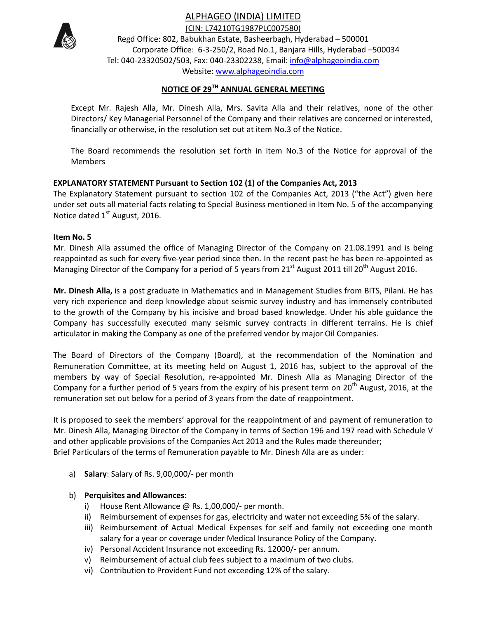

(CIN: L74210TG1987PLC007580)

Regd Office: 802, Babukhan Estate, Basheerbagh, Hyderabad – 500001 Corporate Office: 6-3-250/2, Road No.1, Banjara Hills, Hyderabad –500034 Tel: 040-23320502/503, Fax: 040-23302238, Email: info@alphageoindia.com Website: www.alphageoindia.com

# **NOTICE OF 29TH ANNUAL GENERAL MEETING**

Except Mr. Rajesh Alla, Mr. Dinesh Alla, Mrs. Savita Alla and their relatives, none of the other Directors/ Key Managerial Personnel of the Company and their relatives are concerned or interested, financially or otherwise, in the resolution set out at item No.3 of the Notice.

The Board recommends the resolution set forth in item No.3 of the Notice for approval of the Members

#### **EXPLANATORY STATEMENT Pursuant to Section 102 (1) of the Companies Act, 2013**

The Explanatory Statement pursuant to section 102 of the Companies Act, 2013 ("the Act") given here under set outs all material facts relating to Special Business mentioned in Item No. 5 of the accompanying Notice dated  $1<sup>st</sup>$  August, 2016.

#### **Item No. 5**

Mr. Dinesh Alla assumed the office of Managing Director of the Company on 21.08.1991 and is being reappointed as such for every five-year period since then. In the recent past he has been re-appointed as Managing Director of the Company for a period of 5 years from  $21<sup>st</sup>$  August 2011 till 20<sup>th</sup> August 2016.

**Mr. Dinesh Alla,** is a post graduate in Mathematics and in Management Studies from BITS, Pilani. He has very rich experience and deep knowledge about seismic survey industry and has immensely contributed to the growth of the Company by his incisive and broad based knowledge. Under his able guidance the Company has successfully executed many seismic survey contracts in different terrains. He is chief articulator in making the Company as one of the preferred vendor by major Oil Companies.

The Board of Directors of the Company (Board), at the recommendation of the Nomination and Remuneration Committee, at its meeting held on August 1, 2016 has, subject to the approval of the members by way of Special Resolution, re-appointed Mr. Dinesh Alla as Managing Director of the Company for a further period of 5 years from the expiry of his present term on  $20<sup>th</sup>$  August, 2016, at the remuneration set out below for a period of 3 years from the date of reappointment.

It is proposed to seek the members' approval for the reappointment of and payment of remuneration to Mr. Dinesh Alla, Managing Director of the Company in terms of Section 196 and 197 read with Schedule V and other applicable provisions of the Companies Act 2013 and the Rules made thereunder; Brief Particulars of the terms of Remuneration payable to Mr. Dinesh Alla are as under:

a) **Salary**: Salary of Rs. 9,00,000/- per month

#### b) **Perquisites and Allowances**:

- i) House Rent Allowance @ Rs. 1,00,000/- per month.
- ii) Reimbursement of expenses for gas, electricity and water not exceeding 5% of the salary.
- iii) Reimbursement of Actual Medical Expenses for self and family not exceeding one month salary for a year or coverage under Medical Insurance Policy of the Company.
- iv) Personal Accident Insurance not exceeding Rs. 12000/- per annum.
- v) Reimbursement of actual club fees subject to a maximum of two clubs.
- vi) Contribution to Provident Fund not exceeding 12% of the salary.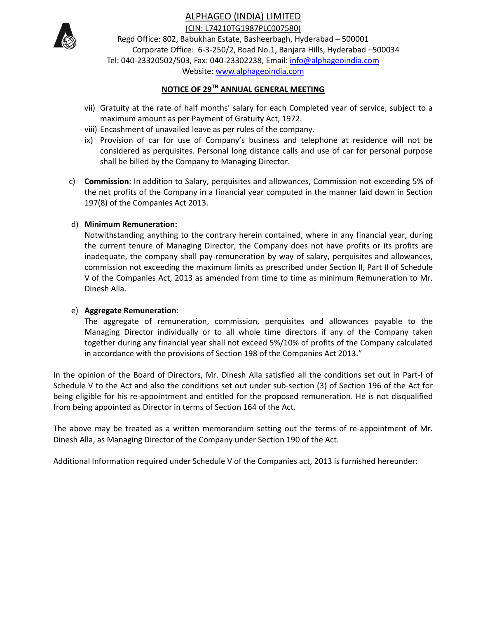

(CIN: L74210TG1987PLC007580)

Regd Office: 802, Babukhan Estate, Basheerbagh, Hyderabad – 500001 Corporate Office: 6-3-250/2, Road No.1, Banjara Hills, Hyderabad –500034 Tel: 040-23320502/503, Fax: 040-23302238, Email: info@alphageoindia.com Website: www.alphageoindia.com

# **NOTICE OF 29TH ANNUAL GENERAL MEETING**

- vii) Gratuity at the rate of half months' salary for each Completed year of service, subject to a maximum amount as per Payment of Gratuity Act, 1972.
- viii) Encashment of unavailed leave as per rules of the company.
- ix) Provision of car for use of Company's business and telephone at residence will not be considered as perquisites. Personal long distance calls and use of car for personal purpose shall be billed by the Company to Managing Director.
- c) **Commission**: In addition to Salary, perquisites and allowances, Commission not exceeding 5% of the net profits of the Company in a financial year computed in the manner laid down in Section 197(8) of the Companies Act 2013.

### d) **Minimum Remuneration:**

Notwithstanding anything to the contrary herein contained, where in any financial year, during the current tenure of Managing Director, the Company does not have profits or its profits are inadequate, the company shall pay remuneration by way of salary, perquisites and allowances, commission not exceeding the maximum limits as prescribed under Section II, Part II of Schedule V of the Companies Act, 2013 as amended from time to time as minimum Remuneration to Mr. Dinesh Alla.

#### e) **Aggregate Remuneration:**

The aggregate of remuneration, commission, perquisites and allowances payable to the Managing Director individually or to all whole time directors if any of the Company taken together during any financial year shall not exceed 5%/10% of profits of the Company calculated in accordance with the provisions of Section 198 of the Companies Act 2013."

In the opinion of the Board of Directors, Mr. Dinesh Alla satisfied all the conditions set out in Part-I of Schedule V to the Act and also the conditions set out under sub-section (3) of Section 196 of the Act for being eligible for his re-appointment and entitled for the proposed remuneration. He is not disqualified from being appointed as Director in terms of Section 164 of the Act.

The above may be treated as a written memorandum setting out the terms of re-appointment of Mr. Dinesh Alla, as Managing Director of the Company under Section 190 of the Act.

Additional Information required under Schedule V of the Companies act, 2013 is furnished hereunder: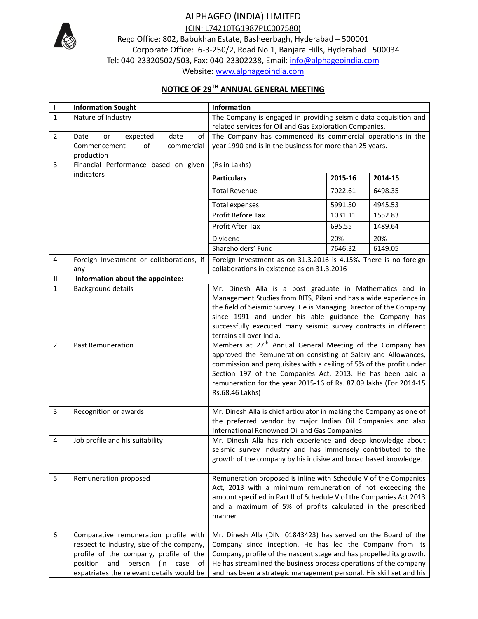

(CIN: L74210TG1987PLC007580)

Regd Office: 802, Babukhan Estate, Basheerbagh, Hyderabad – 500001 Corporate Office: 6-3-250/2, Road No.1, Banjara Hills, Hyderabad –500034 Tel: 040-23320502/503, Fax: 040-23302238, Email: info@alphageoindia.com Website: www.alphageoindia.com

# **NOTICE OF 29TH ANNUAL GENERAL MEETING**

| $\mathbf I$    | <b>Information Sought</b>                                                                                                                                                                                       | Information                                                                                                                                                                                                                                                                                                                                                          |         |         |
|----------------|-----------------------------------------------------------------------------------------------------------------------------------------------------------------------------------------------------------------|----------------------------------------------------------------------------------------------------------------------------------------------------------------------------------------------------------------------------------------------------------------------------------------------------------------------------------------------------------------------|---------|---------|
| $\mathbf{1}$   | Nature of Industry                                                                                                                                                                                              | The Company is engaged in providing seismic data acquisition and                                                                                                                                                                                                                                                                                                     |         |         |
|                |                                                                                                                                                                                                                 | related services for Oil and Gas Exploration Companies.                                                                                                                                                                                                                                                                                                              |         |         |
| $\overline{2}$ | expected<br>date<br>of<br>Date<br>or                                                                                                                                                                            | The Company has commenced its commercial operations in the                                                                                                                                                                                                                                                                                                           |         |         |
|                | Commencement<br>of<br>commercial<br>production                                                                                                                                                                  | year 1990 and is in the business for more than 25 years.                                                                                                                                                                                                                                                                                                             |         |         |
| 3              | Financial Performance based on given                                                                                                                                                                            | (Rs in Lakhs)                                                                                                                                                                                                                                                                                                                                                        |         |         |
|                | indicators                                                                                                                                                                                                      | <b>Particulars</b>                                                                                                                                                                                                                                                                                                                                                   | 2015-16 | 2014-15 |
|                |                                                                                                                                                                                                                 | <b>Total Revenue</b>                                                                                                                                                                                                                                                                                                                                                 | 7022.61 | 6498.35 |
|                |                                                                                                                                                                                                                 | <b>Total expenses</b>                                                                                                                                                                                                                                                                                                                                                | 5991.50 | 4945.53 |
|                |                                                                                                                                                                                                                 | Profit Before Tax                                                                                                                                                                                                                                                                                                                                                    | 1031.11 | 1552.83 |
|                |                                                                                                                                                                                                                 | Profit After Tax                                                                                                                                                                                                                                                                                                                                                     | 695.55  | 1489.64 |
|                |                                                                                                                                                                                                                 | Dividend                                                                                                                                                                                                                                                                                                                                                             | 20%     | 20%     |
|                |                                                                                                                                                                                                                 | Shareholders' Fund                                                                                                                                                                                                                                                                                                                                                   | 7646.32 | 6149.05 |
| 4              | Foreign Investment or collaborations, if<br>any                                                                                                                                                                 | Foreign Investment as on 31.3.2016 is 4.15%. There is no foreign<br>collaborations in existence as on 31.3.2016                                                                                                                                                                                                                                                      |         |         |
| Ш              | Information about the appointee:                                                                                                                                                                                |                                                                                                                                                                                                                                                                                                                                                                      |         |         |
| $\mathbf{1}$   | <b>Background details</b>                                                                                                                                                                                       | Mr. Dinesh Alla is a post graduate in Mathematics and in<br>Management Studies from BITS, Pilani and has a wide experience in<br>the field of Seismic Survey. He is Managing Director of the Company<br>since 1991 and under his able guidance the Company has<br>successfully executed many seismic survey contracts in different<br>terrains all over India.       |         |         |
| $\overline{2}$ | <b>Past Remuneration</b>                                                                                                                                                                                        | Members at 27 <sup>th</sup> Annual General Meeting of the Company has<br>approved the Remuneration consisting of Salary and Allowances,<br>commission and perquisites with a ceiling of 5% of the profit under<br>Section 197 of the Companies Act, 2013. He has been paid a<br>remuneration for the year 2015-16 of Rs. 87.09 lakhs (For 2014-15<br>Rs.68.46 Lakhs) |         |         |
| 3              | Recognition or awards                                                                                                                                                                                           | Mr. Dinesh Alla is chief articulator in making the Company as one of<br>the preferred vendor by major Indian Oil Companies and also<br>International Renowned Oil and Gas Companies.                                                                                                                                                                                 |         |         |
| $\overline{4}$ | Job profile and his suitability                                                                                                                                                                                 | Mr. Dinesh Alla has rich experience and deep knowledge about<br>seismic survey industry and has immensely contributed to the<br>growth of the company by his incisive and broad based knowledge.                                                                                                                                                                     |         |         |
| 5              | Remuneration proposed                                                                                                                                                                                           | Remuneration proposed is inline with Schedule V of the Companies<br>Act, 2013 with a minimum remuneration of not exceeding the<br>amount specified in Part II of Schedule V of the Companies Act 2013<br>and a maximum of 5% of profits calculated in the prescribed<br>manner                                                                                       |         |         |
| 6              | Comparative remuneration profile with<br>respect to industry, size of the company,<br>profile of the company, profile of the<br>position and<br>person (in case of<br>expatriates the relevant details would be | Mr. Dinesh Alla (DIN: 01843423) has served on the Board of the<br>Company since inception. He has led the Company from its<br>Company, profile of the nascent stage and has propelled its growth.<br>He has streamlined the business process operations of the company<br>and has been a strategic management personal. His skill set and his                        |         |         |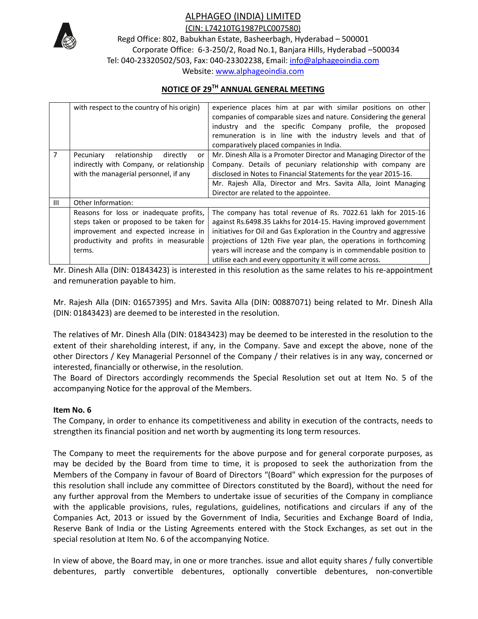

(CIN: L74210TG1987PLC007580)

Regd Office: 802, Babukhan Estate, Basheerbagh, Hyderabad – 500001 Corporate Office: 6-3-250/2, Road No.1, Banjara Hills, Hyderabad –500034 Tel: 040-23320502/503, Fax: 040-23302238, Email: info@alphageoindia.com

Website: www.alphageoindia.com

## **NOTICE OF 29TH ANNUAL GENERAL MEETING**

|   | with respect to the country of his origin)                                                                                                                                     | experience places him at par with similar positions on other<br>companies of comparable sizes and nature. Considering the general<br>industry and the specific Company profile, the proposed<br>remuneration is in line with the industry levels and that of<br>comparatively placed companies in India.                                                                                                        |
|---|--------------------------------------------------------------------------------------------------------------------------------------------------------------------------------|-----------------------------------------------------------------------------------------------------------------------------------------------------------------------------------------------------------------------------------------------------------------------------------------------------------------------------------------------------------------------------------------------------------------|
| 7 | Pecuniary<br>relationship<br>directly<br>or<br>indirectly with Company, or relationship<br>with the managerial personnel, if any                                               | Mr. Dinesh Alla is a Promoter Director and Managing Director of the<br>Company. Details of pecuniary relationship with company are<br>disclosed in Notes to Financial Statements for the year 2015-16.<br>Mr. Rajesh Alla, Director and Mrs. Savita Alla, Joint Managing<br>Director are related to the appointee.                                                                                              |
| Ш | Other Information:                                                                                                                                                             |                                                                                                                                                                                                                                                                                                                                                                                                                 |
|   | Reasons for loss or inadequate profits,<br>steps taken or proposed to be taken for<br>improvement and expected increase in<br>productivity and profits in measurable<br>terms. | The company has total revenue of Rs. 7022.61 lakh for 2015-16<br>against Rs.6498.35 Lakhs for 2014-15. Having improved government<br>initiatives for Oil and Gas Exploration in the Country and aggressive<br>projections of 12th Five year plan, the operations in forthcoming<br>years will increase and the company is in commendable position to<br>utilise each and every opportunity it will come across. |

Mr. Dinesh Alla (DIN: 01843423) is interested in this resolution as the same relates to his re-appointment and remuneration payable to him.

Mr. Rajesh Alla (DIN: 01657395) and Mrs. Savita Alla (DIN: 00887071) being related to Mr. Dinesh Alla (DIN: 01843423) are deemed to be interested in the resolution.

The relatives of Mr. Dinesh Alla (DIN: 01843423) may be deemed to be interested in the resolution to the extent of their shareholding interest, if any, in the Company. Save and except the above, none of the other Directors / Key Managerial Personnel of the Company / their relatives is in any way, concerned or interested, financially or otherwise, in the resolution.

The Board of Directors accordingly recommends the Special Resolution set out at Item No. 5 of the accompanying Notice for the approval of the Members.

### **Item No. 6**

The Company, in order to enhance its competitiveness and ability in execution of the contracts, needs to strengthen its financial position and net worth by augmenting its long term resources.

The Company to meet the requirements for the above purpose and for general corporate purposes, as may be decided by the Board from time to time, it is proposed to seek the authorization from the Members of the Company in favour of Board of Directors "(Board" which expression for the purposes of this resolution shall include any committee of Directors constituted by the Board), without the need for any further approval from the Members to undertake issue of securities of the Company in compliance with the applicable provisions, rules, regulations, guidelines, notifications and circulars if any of the Companies Act, 2013 or issued by the Government of India, Securities and Exchange Board of India, Reserve Bank of India or the Listing Agreements entered with the Stock Exchanges, as set out in the special resolution at Item No. 6 of the accompanying Notice.

In view of above, the Board may, in one or more tranches. issue and allot equity shares / fully convertible debentures, partly convertible debentures, optionally convertible debentures, non-convertible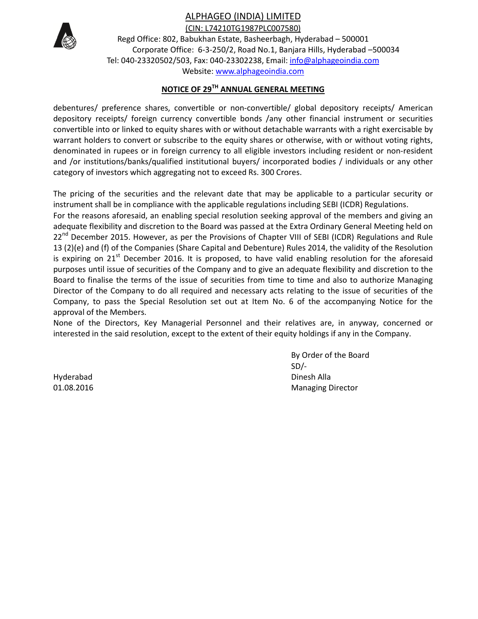

(CIN: L74210TG1987PLC007580)

Regd Office: 802, Babukhan Estate, Basheerbagh, Hyderabad – 500001 Corporate Office: 6-3-250/2, Road No.1, Banjara Hills, Hyderabad –500034 Tel: 040-23320502/503, Fax: 040-23302238, Email: info@alphageoindia.com Website: www.alphageoindia.com

# **NOTICE OF 29TH ANNUAL GENERAL MEETING**

debentures/ preference shares, convertible or non-convertible/ global depository receipts/ American depository receipts/ foreign currency convertible bonds /any other financial instrument or securities convertible into or linked to equity shares with or without detachable warrants with a right exercisable by warrant holders to convert or subscribe to the equity shares or otherwise, with or without voting rights, denominated in rupees or in foreign currency to all eligible investors including resident or non-resident and /or institutions/banks/qualified institutional buyers/ incorporated bodies / individuals or any other category of investors which aggregating not to exceed Rs. 300 Crores.

The pricing of the securities and the relevant date that may be applicable to a particular security or instrument shall be in compliance with the applicable regulations including SEBI (ICDR) Regulations. For the reasons aforesaid, an enabling special resolution seeking approval of the members and giving an adequate flexibility and discretion to the Board was passed at the Extra Ordinary General Meeting held on 22<sup>nd</sup> December 2015. However, as per the Provisions of Chapter VIII of SEBI (ICDR) Regulations and Rule 13 (2)(e) and (f) of the Companies (Share Capital and Debenture) Rules 2014, the validity of the Resolution is expiring on  $21^{st}$  December 2016. It is proposed, to have valid enabling resolution for the aforesaid purposes until issue of securities of the Company and to give an adequate flexibility and discretion to the Board to finalise the terms of the issue of securities from time to time and also to authorize Managing Director of the Company to do all required and necessary acts relating to the issue of securities of the Company, to pass the Special Resolution set out at Item No. 6 of the accompanying Notice for the approval of the Members.

None of the Directors, Key Managerial Personnel and their relatives are, in anyway, concerned or interested in the said resolution, except to the extent of their equity holdings if any in the Company.

Hyderabad 01.08.2016 By Order of the Board SD/- Dinesh Alla Managing Director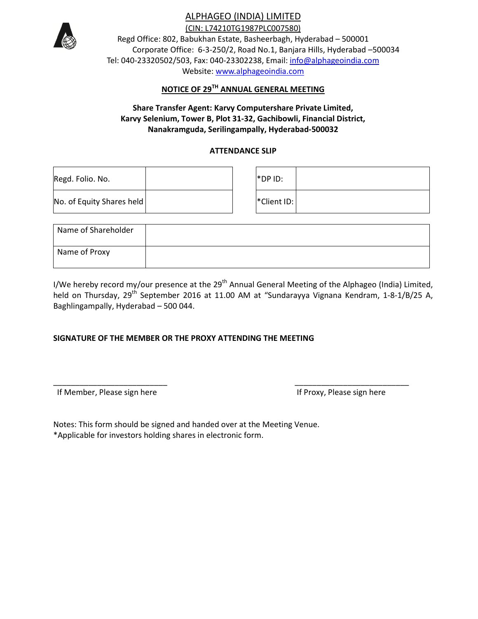

(CIN: L74210TG1987PLC007580)

Regd Office: 802, Babukhan Estate, Basheerbagh, Hyderabad – 500001 Corporate Office: 6-3-250/2, Road No.1, Banjara Hills, Hyderabad –500034 Tel: 040-23320502/503, Fax: 040-23302238, Email: info@alphageoindia.com Website: www.alphageoindia.com

# **NOTICE OF 29TH ANNUAL GENERAL MEETING**

### **Share Transfer Agent: Karvy Computershare Private Limited, Karvy Selenium, Tower B, Plot 31-32, Gachibowli, Financial District, Nanakramguda, Serilingampally, Hyderabad-500032**

### **ATTENDANCE SLIP**

| Regd. Folio. No.          | *DP ID:     |  |
|---------------------------|-------------|--|
| No. of Equity Shares held | *Client ID: |  |

| Name of Shareholder |  |
|---------------------|--|
| Name of Proxy       |  |

I/We hereby record my/our presence at the 29<sup>th</sup> Annual General Meeting of the Alphageo (India) Limited, held on Thursday, 29<sup>th</sup> September 2016 at 11.00 AM at "Sundarayya Vignana Kendram, 1-8-1/B/25 A, Baghlingampally, Hyderabad – 500 044.

\_\_\_\_\_\_\_\_\_\_\_\_\_\_\_\_\_\_\_\_\_\_\_\_\_\_ \_\_\_\_\_\_\_\_\_\_\_\_\_\_\_\_\_\_\_\_\_\_\_\_\_\_

### **SIGNATURE OF THE MEMBER OR THE PROXY ATTENDING THE MEETING**

If Member, Please sign here If Member, Please sign here If Proxy, Please sign here

Notes: This form should be signed and handed over at the Meeting Venue. \*Applicable for investors holding shares in electronic form.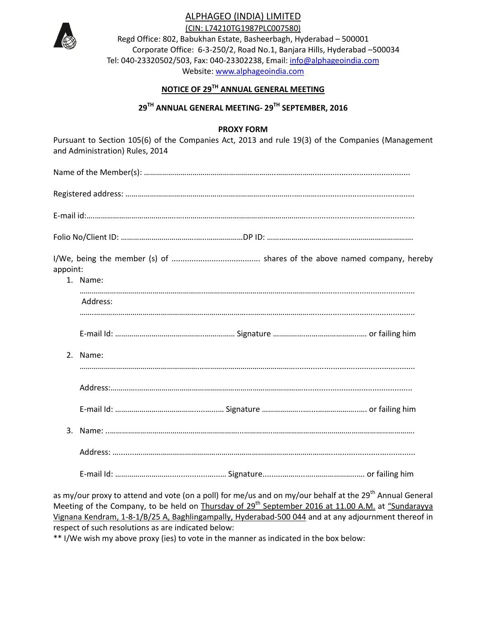

(CIN: L74210TG1987PLC007580)

Regd Office: 802, Babukhan Estate, Basheerbagh, Hyderabad – 500001 Corporate Office: 6-3-250/2, Road No.1, Banjara Hills, Hyderabad –500034 Tel: 040-23320502/503, Fax: 040-23302238, Email: info@alphageoindia.com Website: www.alphageoindia.com

# **NOTICE OF 29TH ANNUAL GENERAL MEETING**

# **29TH ANNUAL GENERAL MEETING- 29TH SEPTEMBER, 2016**

#### **PROXY FORM**

Pursuant to Section 105(6) of the Companies Act, 2013 and rule 19(3) of the Companies (Management and Administration) Rules, 2014

| appoint: | 1. Name: |  |
|----------|----------|--|
|          | Address: |  |
|          |          |  |
|          | 2. Name: |  |
|          |          |  |
|          |          |  |
|          |          |  |
|          |          |  |
|          |          |  |

as my/our proxy to attend and vote (on a poll) for me/us and on my/our behalf at the 29<sup>th</sup> Annual General Meeting of the Company, to be held on Thursday of 29<sup>th</sup> September 2016 at 11.00 A.M. at "Sundarayya Vignana Kendram, 1-8-1/B/25 A, Baghlingampally, Hyderabad-500 044 and at any adjournment thereof in respect of such resolutions as are indicated below:

\*\* I/We wish my above proxy (ies) to vote in the manner as indicated in the box below: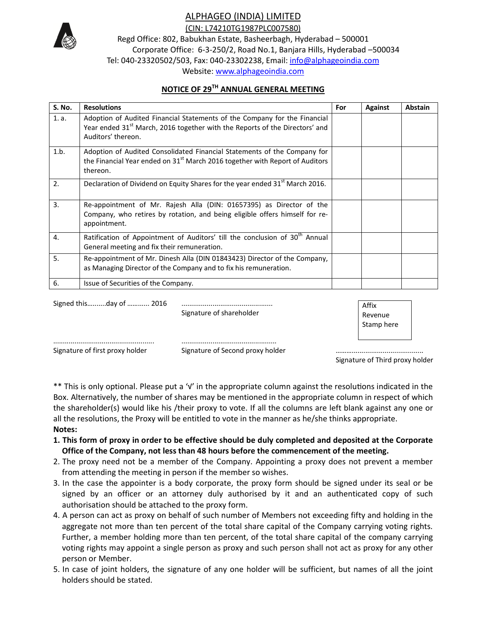

(CIN: L74210TG1987PLC007580)

Regd Office: 802, Babukhan Estate, Basheerbagh, Hyderabad – 500001 Corporate Office: 6-3-250/2, Road No.1, Banjara Hills, Hyderabad –500034 Tel: 040-23320502/503, Fax: 040-23302238, Email: info@alphageoindia.com

Website: www.alphageoindia.com

## **NOTICE OF 29TH ANNUAL GENERAL MEETING**

| <b>S. No.</b>    | <b>Resolutions</b>                                                                                                                                                                         | For | <b>Against</b> | <b>Abstain</b> |
|------------------|--------------------------------------------------------------------------------------------------------------------------------------------------------------------------------------------|-----|----------------|----------------|
| 1. a.            | Adoption of Audited Financial Statements of the Company for the Financial<br>Year ended 31 <sup>st</sup> March, 2016 together with the Reports of the Directors' and<br>Auditors' thereon. |     |                |                |
| 1.b.             | Adoption of Audited Consolidated Financial Statements of the Company for<br>the Financial Year ended on 31 <sup>st</sup> March 2016 together with Report of Auditors<br>thereon.           |     |                |                |
| 2.               | Declaration of Dividend on Equity Shares for the year ended 31 <sup>st</sup> March 2016.                                                                                                   |     |                |                |
| $\overline{3}$ . | Re-appointment of Mr. Rajesh Alla (DIN: 01657395) as Director of the<br>Company, who retires by rotation, and being eligible offers himself for re-<br>appointment.                        |     |                |                |
| 4.               | Ratification of Appointment of Auditors' till the conclusion of 30 <sup>th</sup> Annual<br>General meeting and fix their remuneration.                                                     |     |                |                |
| 5.               | Re-appointment of Mr. Dinesh Alla (DIN 01843423) Director of the Company,<br>as Managing Director of the Company and to fix his remuneration.                                              |     |                |                |
| 6.               | Issue of Securities of the Company.                                                                                                                                                        |     |                |                |

| Signed thisday of  2016         | Signature of shareholder         | Affix<br>Revenue<br>Stamp here                          |
|---------------------------------|----------------------------------|---------------------------------------------------------|
| Signature of first proxy holder | Signature of Second proxy holder |                                                         |
|                                 |                                  | $\sim$ $\sim$ $\sim$ $\sim$ $\sim$ $\sim$ $\sim$ $\sim$ |

Signature of Third proxy holder

\*\* This is only optional. Please put a '√' in the appropriate column against the resolutions indicated in the Box. Alternatively, the number of shares may be mentioned in the appropriate column in respect of which the shareholder(s) would like his /their proxy to vote. If all the columns are left blank against any one or all the resolutions, the Proxy will be entitled to vote in the manner as he/she thinks appropriate. **Notes:** 

- **1. This form of proxy in order to be effective should be duly completed and deposited at the Corporate Office of the Company, not less than 48 hours before the commencement of the meeting.**
- 2. The proxy need not be a member of the Company. Appointing a proxy does not prevent a member from attending the meeting in person if the member so wishes.
- 3. In the case the appointer is a body corporate, the proxy form should be signed under its seal or be signed by an officer or an attorney duly authorised by it and an authenticated copy of such authorisation should be attached to the proxy form.
- 4. A person can act as proxy on behalf of such number of Members not exceeding fifty and holding in the aggregate not more than ten percent of the total share capital of the Company carrying voting rights. Further, a member holding more than ten percent, of the total share capital of the company carrying voting rights may appoint a single person as proxy and such person shall not act as proxy for any other person or Member.
- 5. In case of joint holders, the signature of any one holder will be sufficient, but names of all the joint holders should be stated.